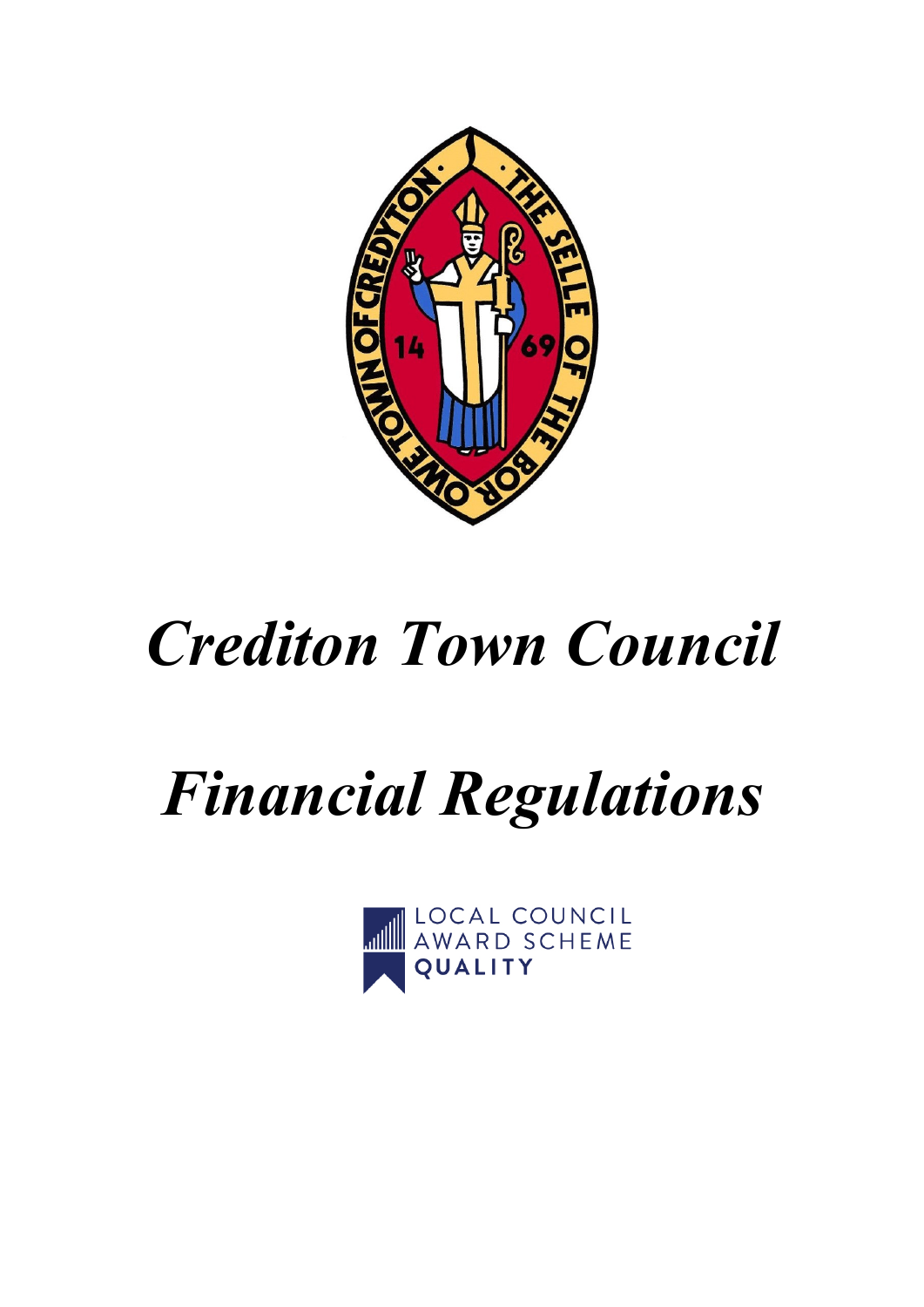

# *Crediton Town Council*

# *Financial Regulations*

**LOCAL COUNCIL** QUALITY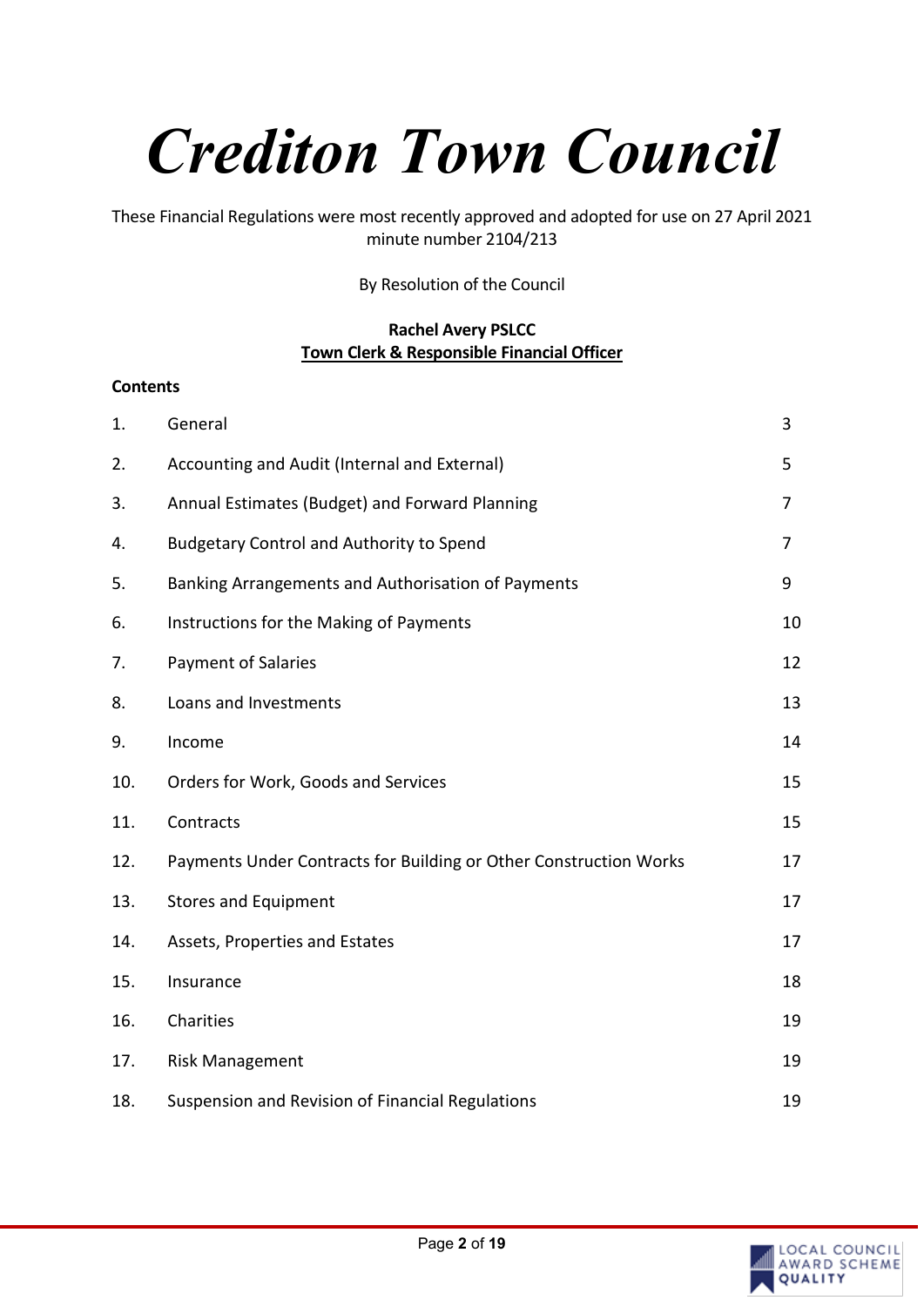# *Crediton Town Council*

These Financial Regulations were most recently approved and adopted for use on 27 April 2021 minute number 2104/213

By Resolution of the Council

#### **Rachel Avery PSLCC Town Clerk & Responsible Financial Officer**

| <b>Contents</b> |                                                                   |                |
|-----------------|-------------------------------------------------------------------|----------------|
| 1.              | General                                                           | 3              |
| 2.              | Accounting and Audit (Internal and External)                      | 5              |
| 3.              | Annual Estimates (Budget) and Forward Planning                    | $\overline{7}$ |
| 4.              | <b>Budgetary Control and Authority to Spend</b>                   | $\overline{7}$ |
| 5.              | Banking Arrangements and Authorisation of Payments                | 9              |
| 6.              | Instructions for the Making of Payments                           | 10             |
| 7.              | <b>Payment of Salaries</b>                                        | 12             |
| 8.              | Loans and Investments                                             | 13             |
| 9.              | Income                                                            | 14             |
| 10.             | Orders for Work, Goods and Services                               | 15             |
| 11.             | Contracts                                                         | 15             |
| 12.             | Payments Under Contracts for Building or Other Construction Works | 17             |
| 13.             | <b>Stores and Equipment</b>                                       | 17             |
| 14.             | Assets, Properties and Estates                                    | 17             |
| 15.             | Insurance                                                         | 18             |
| 16.             | Charities                                                         | 19             |
| 17.             | <b>Risk Management</b>                                            | 19             |
| 18.             | Suspension and Revision of Financial Regulations                  | 19             |

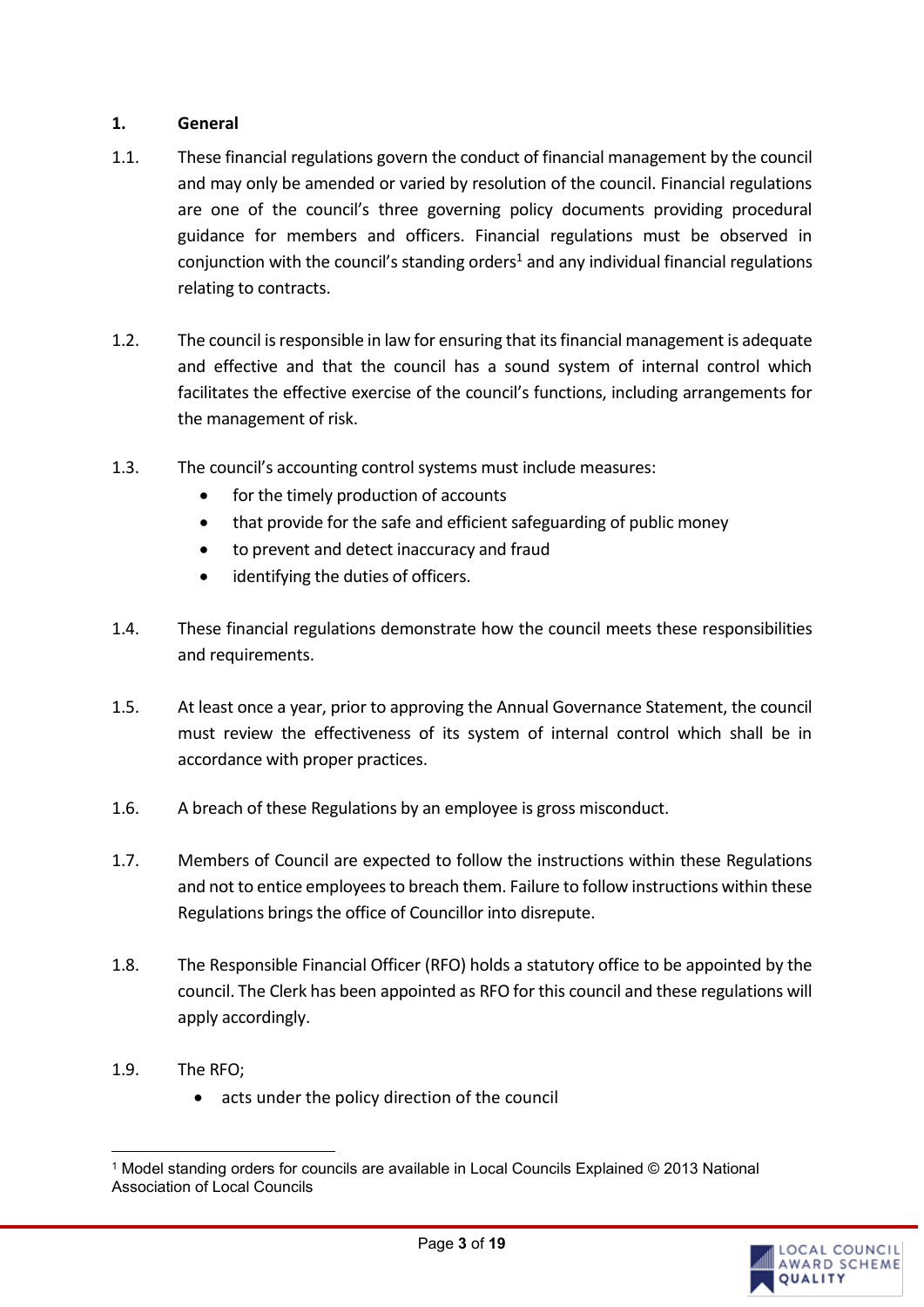# **1. General**

- 1.1. These financial regulations govern the conduct of financial management by the council and may only be amended or varied by resolution of the council. Financial regulations are one of the council's three governing policy documents providing procedural guidance for members and officers. Financial regulations must be observed in conjunction with the council's standing orders<sup>1</sup> and any individual financial regulations relating to contracts.
- 1.2. The council is responsible in law for ensuring that its financial management is adequate and effective and that the council has a sound system of internal control which facilitates the effective exercise of the council's functions, including arrangements for the management of risk.
- 1.3. The council's accounting control systems must include measures:
	- for the timely production of accounts
	- that provide for the safe and efficient safeguarding of public money
	- to prevent and detect inaccuracy and fraud
	- identifying the duties of officers.
- 1.4. These financial regulations demonstrate how the council meets these responsibilities and requirements.
- 1.5. At least once a year, prior to approving the Annual Governance Statement, the council must review the effectiveness of its system of internal control which shall be in accordance with proper practices.
- 1.6. A breach of these Regulations by an employee is gross misconduct.
- 1.7. Members of Council are expected to follow the instructions within these Regulations and not to entice employees to breach them. Failure to follow instructions within these Regulations brings the office of Councillor into disrepute.
- 1.8. The Responsible Financial Officer (RFO) holds a statutory office to be appointed by the council. The Clerk has been appointed as RFO for this council and these regulations will apply accordingly.
- 1.9. The RFO;
	- acts under the policy direction of the council

<sup>1</sup> Model standing orders for councils are available in Local Councils Explained © 2013 National Association of Local Councils

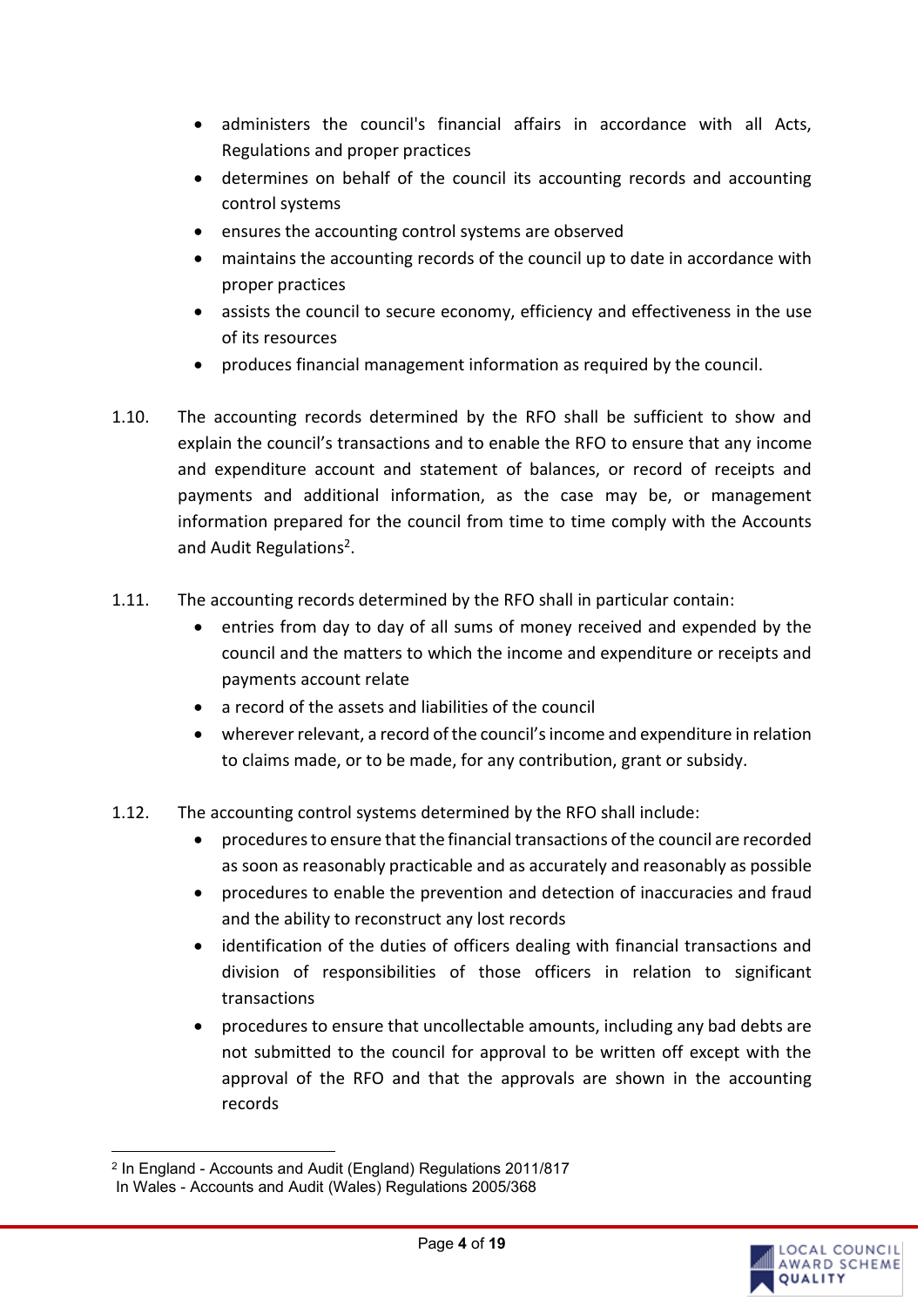- administers the council's financial affairs in accordance with all Acts, Regulations and proper practices
- determines on behalf of the council its accounting records and accounting control systems
- ensures the accounting control systems are observed
- maintains the accounting records of the council up to date in accordance with proper practices
- assists the council to secure economy, efficiency and effectiveness in the use of its resources
- produces financial management information as required by the council.
- 1.10. The accounting records determined by the RFO shall be sufficient to show and explain the council's transactions and to enable the RFO to ensure that any income and expenditure account and statement of balances, or record of receipts and payments and additional information, as the case may be, or management information prepared for the council from time to time comply with the Accounts and Audit Regulations<sup>2</sup>.
- 1.11. The accounting records determined by the RFO shall in particular contain:
	- entries from day to day of all sums of money received and expended by the council and the matters to which the income and expenditure or receipts and payments account relate
	- a record of the assets and liabilities of the council
	- wherever relevant, a record of the council's income and expenditure in relation to claims made, or to be made, for any contribution, grant or subsidy.
- 1.12. The accounting control systems determined by the RFO shall include:
	- procedures to ensure that the financial transactions of the council are recorded as soon as reasonably practicable and as accurately and reasonably as possible
	- procedures to enable the prevention and detection of inaccuracies and fraud and the ability to reconstruct any lost records
	- identification of the duties of officers dealing with financial transactions and division of responsibilities of those officers in relation to significant transactions
	- procedures to ensure that uncollectable amounts, including any bad debts are not submitted to the council for approval to be written off except with the approval of the RFO and that the approvals are shown in the accounting records



<sup>2</sup> In England - Accounts and Audit (England) Regulations 2011/817

In Wales - Accounts and Audit (Wales) Regulations 2005/368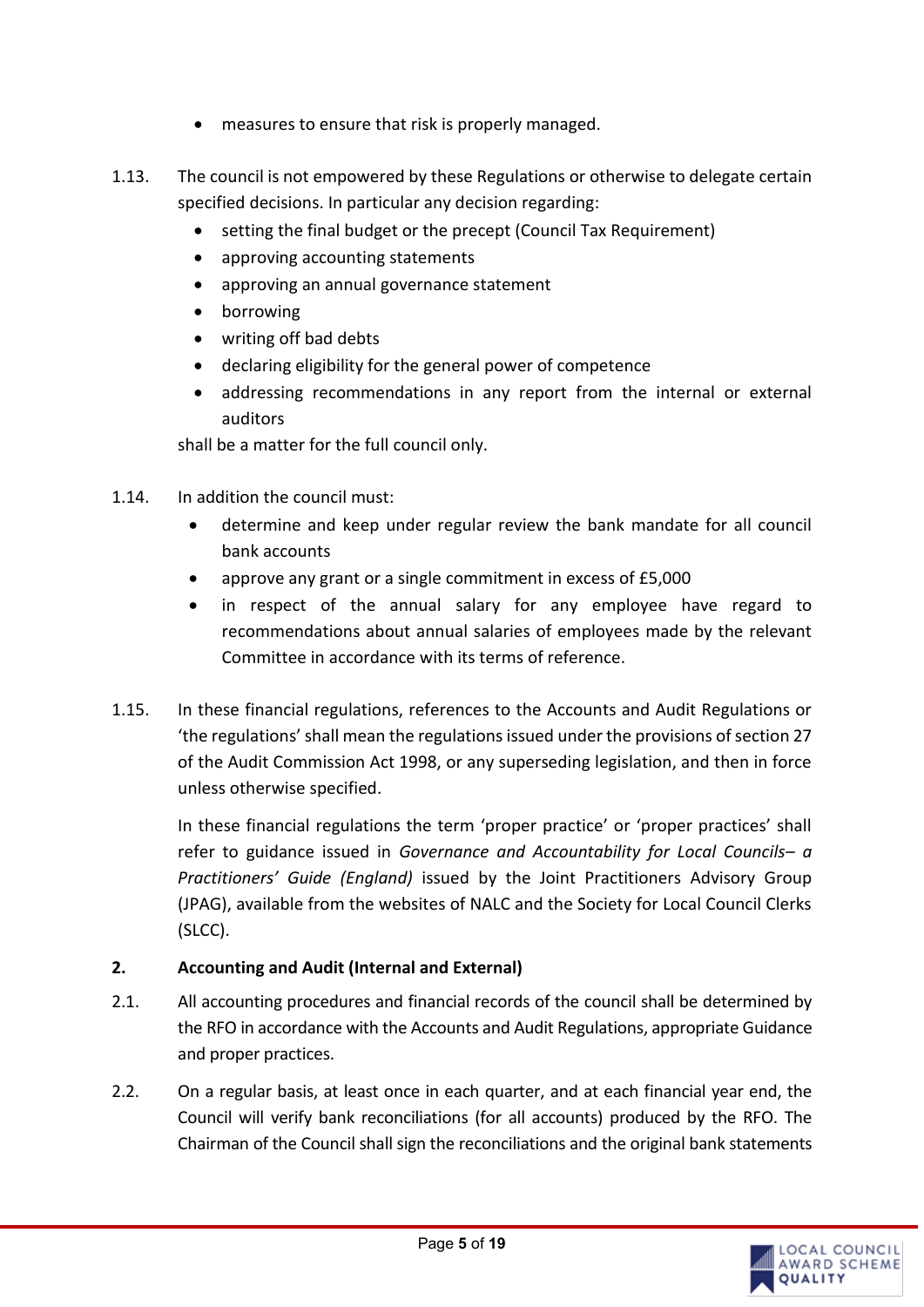- measures to ensure that risk is properly managed.
- 1.13. The council is not empowered by these Regulations or otherwise to delegate certain specified decisions. In particular any decision regarding:
	- setting the final budget or the precept (Council Tax Requirement)
	- approving accounting statements
	- approving an annual governance statement
	- borrowing
	- writing off bad debts
	- declaring eligibility for the general power of competence
	- addressing recommendations in any report from the internal or external auditors

shall be a matter for the full council only.

- 1.14. In addition the council must:
	- determine and keep under regular review the bank mandate for all council bank accounts
	- approve any grant or a single commitment in excess of £5,000
	- in respect of the annual salary for any employee have regard to recommendations about annual salaries of employees made by the relevant Committee in accordance with its terms of reference.
- 1.15. In these financial regulations, references to the Accounts and Audit Regulations or 'the regulations' shall mean the regulations issued under the provisions of section 27 of the Audit Commission Act 1998, or any superseding legislation, and then in force unless otherwise specified.

In these financial regulations the term 'proper practice' or 'proper practices' shall refer to guidance issued in *Governance and Accountability for Local Councils– a Practitioners' Guide (England)* issued by the Joint Practitioners Advisory Group (JPAG), available from the websites of NALC and the Society for Local Council Clerks (SLCC).

# <span id="page-4-0"></span>**2. Accounting and Audit (Internal and External)**

- 2.1. All accounting procedures and financial records of the council shall be determined by the RFO in accordance with the Accounts and Audit Regulations, appropriate Guidance and proper practices.
- 2.2. On a regular basis, at least once in each quarter, and at each financial year end, the Council will verify bank reconciliations (for all accounts) produced by the RFO. The Chairman of the Council shall sign the reconciliations and the original bank statements

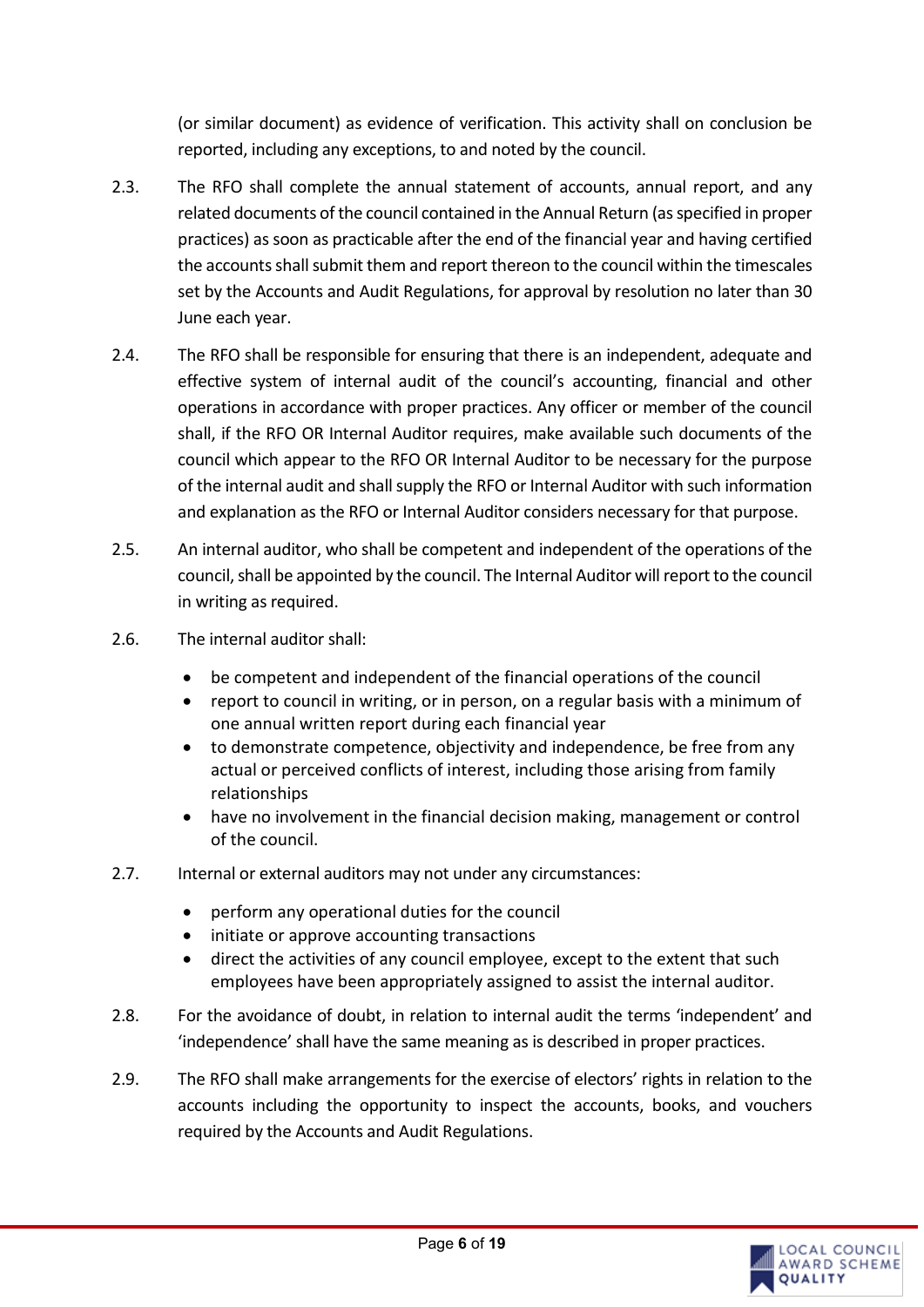(or similar document) as evidence of verification. This activity shall on conclusion be reported, including any exceptions, to and noted by the council.

- 2.3. The RFO shall complete the annual statement of accounts, annual report, and any related documents of the council contained in the Annual Return (as specified in proper practices) as soon as practicable after the end of the financial year and having certified the accounts shall submit them and report thereon to the council within the timescales set by the Accounts and Audit Regulations, for approval by resolution no later than 30 June each year.
- 2.4. The RFO shall be responsible for ensuring that there is an independent, adequate and effective system of internal audit of the council's accounting, financial and other operations in accordance with proper practices. Any officer or member of the council shall, if the RFO OR Internal Auditor requires, make available such documents of the council which appear to the RFO OR Internal Auditor to be necessary for the purpose of the internal audit and shall supply the RFO or Internal Auditor with such information and explanation as the RFO or Internal Auditor considers necessary for that purpose.
- 2.5. An internal auditor, who shall be competent and independent of the operations of the council, shall be appointed by the council. The Internal Auditor will report to the council in writing as required.
- 2.6. The internal auditor shall:
	- be competent and independent of the financial operations of the council
	- report to council in writing, or in person, on a regular basis with a minimum of one annual written report during each financial year
	- to demonstrate competence, objectivity and independence, be free from any actual or perceived conflicts of interest, including those arising from family relationships
	- have no involvement in the financial decision making, management or control of the council.
- 2.7. Internal or external auditors may not under any circumstances:
	- perform any operational duties for the council
	- initiate or approve accounting transactions
	- direct the activities of any council employee, except to the extent that such employees have been appropriately assigned to assist the internal auditor.
- 2.8. For the avoidance of doubt, in relation to internal audit the terms 'independent' and 'independence' shall have the same meaning as is described in proper practices.
- 2.9. The RFO shall make arrangements for the exercise of electors' rights in relation to the accounts including the opportunity to inspect the accounts, books, and vouchers required by the Accounts and Audit Regulations.

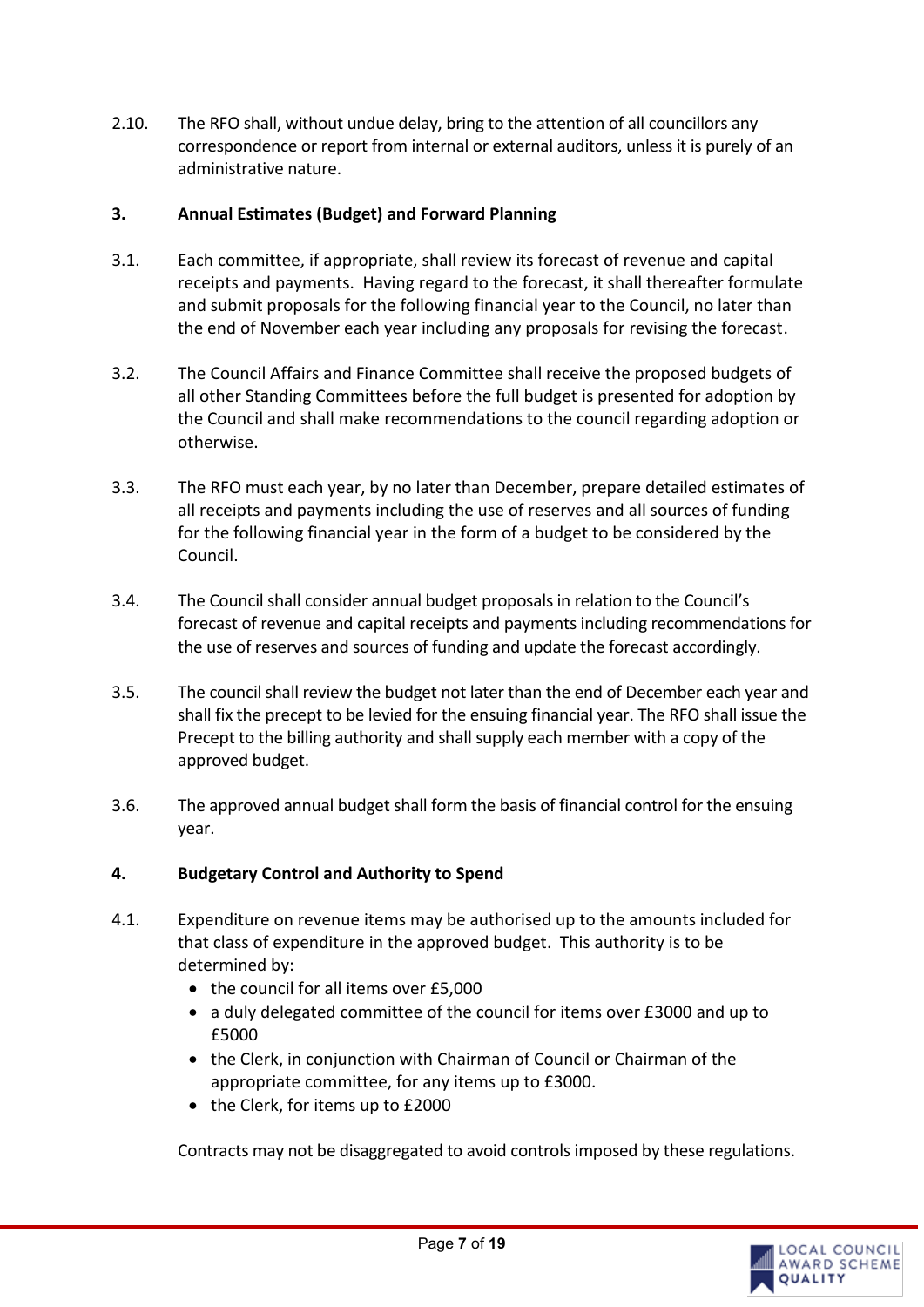2.10. The RFO shall, without undue delay, bring to the attention of all councillors any correspondence or report from internal or external auditors, unless it is purely of an administrative nature.

#### <span id="page-6-0"></span>**3. Annual Estimates (Budget) and Forward Planning**

- 3.1. Each committee, if appropriate, shall review its forecast of revenue and capital receipts and payments. Having regard to the forecast, it shall thereafter formulate and submit proposals for the following financial year to the Council, no later than the end of November each year including any proposals for revising the forecast.
- 3.2. The Council Affairs and Finance Committee shall receive the proposed budgets of all other Standing Committees before the full budget is presented for adoption by the Council and shall make recommendations to the council regarding adoption or otherwise.
- 3.3. The RFO must each year, by no later than December, prepare detailed estimates of all receipts and payments including the use of reserves and all sources of funding for the following financial year in the form of a budget to be considered by the Council.
- 3.4. The Council shall consider annual budget proposals in relation to the Council's forecast of revenue and capital receipts and payments including recommendations for the use of reserves and sources of funding and update the forecast accordingly.
- 3.5. The council shall review the budget not later than the end of December each year and shall fix the precept to be levied for the ensuing financial year. The RFO shall issue the Precept to the billing authority and shall supply each member with a copy of the approved budget.
- 3.6. The approved annual budget shall form the basis of financial control for the ensuing year.

#### <span id="page-6-1"></span>**4. Budgetary Control and Authority to Spend**

- 4.1. Expenditure on revenue items may be authorised up to the amounts included for that class of expenditure in the approved budget. This authority is to be determined by:
	- the council for all items over £5,000
	- a duly delegated committee of the council for items over £3000 and up to £5000
	- the Clerk, in conjunction with Chairman of Council or Chairman of the appropriate committee, for any items up to £3000.
	- the Clerk, for items up to £2000

Contracts may not be disaggregated to avoid controls imposed by these regulations.

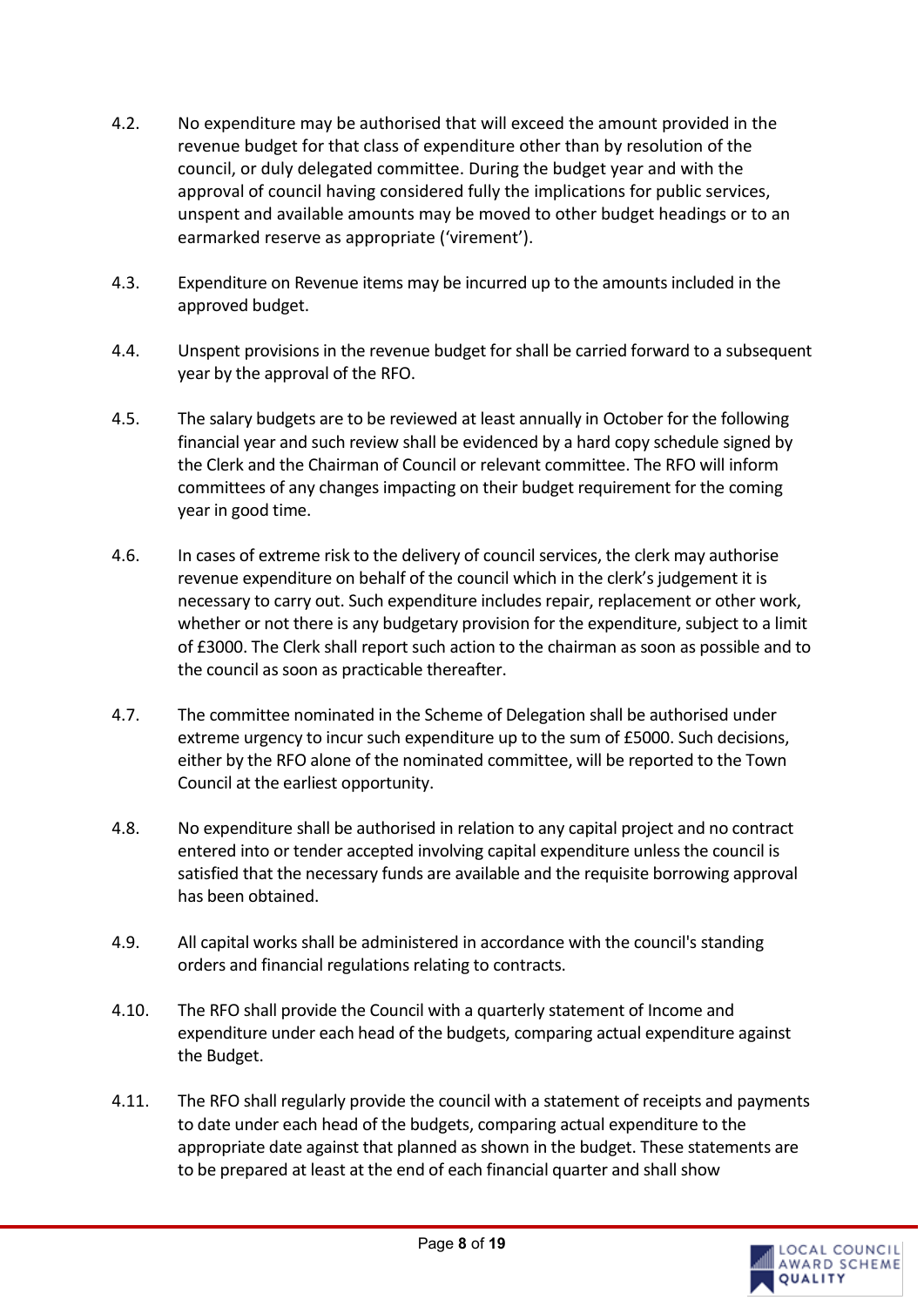- 4.2. No expenditure may be authorised that will exceed the amount provided in the revenue budget for that class of expenditure other than by resolution of the council, or duly delegated committee. During the budget year and with the approval of council having considered fully the implications for public services, unspent and available amounts may be moved to other budget headings or to an earmarked reserve as appropriate ('virement').
- 4.3. Expenditure on Revenue items may be incurred up to the amounts included in the approved budget.
- 4.4. Unspent provisions in the revenue budget for shall be carried forward to a subsequent year by the approval of the RFO.
- 4.5. The salary budgets are to be reviewed at least annually in October for the following financial year and such review shall be evidenced by a hard copy schedule signed by the Clerk and the Chairman of Council or relevant committee. The RFO will inform committees of any changes impacting on their budget requirement for the coming year in good time.
- 4.6. In cases of extreme risk to the delivery of council services, the clerk may authorise revenue expenditure on behalf of the council which in the clerk's judgement it is necessary to carry out. Such expenditure includes repair, replacement or other work, whether or not there is any budgetary provision for the expenditure, subject to a limit of £3000. The Clerk shall report such action to the chairman as soon as possible and to the council as soon as practicable thereafter.
- 4.7. The committee nominated in the Scheme of Delegation shall be authorised under extreme urgency to incur such expenditure up to the sum of £5000. Such decisions, either by the RFO alone of the nominated committee, will be reported to the Town Council at the earliest opportunity.
- 4.8. No expenditure shall be authorised in relation to any capital project and no contract entered into or tender accepted involving capital expenditure unless the council is satisfied that the necessary funds are available and the requisite borrowing approval has been obtained.
- 4.9. All capital works shall be administered in accordance with the council's standing orders and financial regulations relating to contracts.
- 4.10. The RFO shall provide the Council with a quarterly statement of Income and expenditure under each head of the budgets, comparing actual expenditure against the Budget.
- 4.11. The RFO shall regularly provide the council with a statement of receipts and payments to date under each head of the budgets, comparing actual expenditure to the appropriate date against that planned as shown in the budget. These statements are to be prepared at least at the end of each financial quarter and shall show

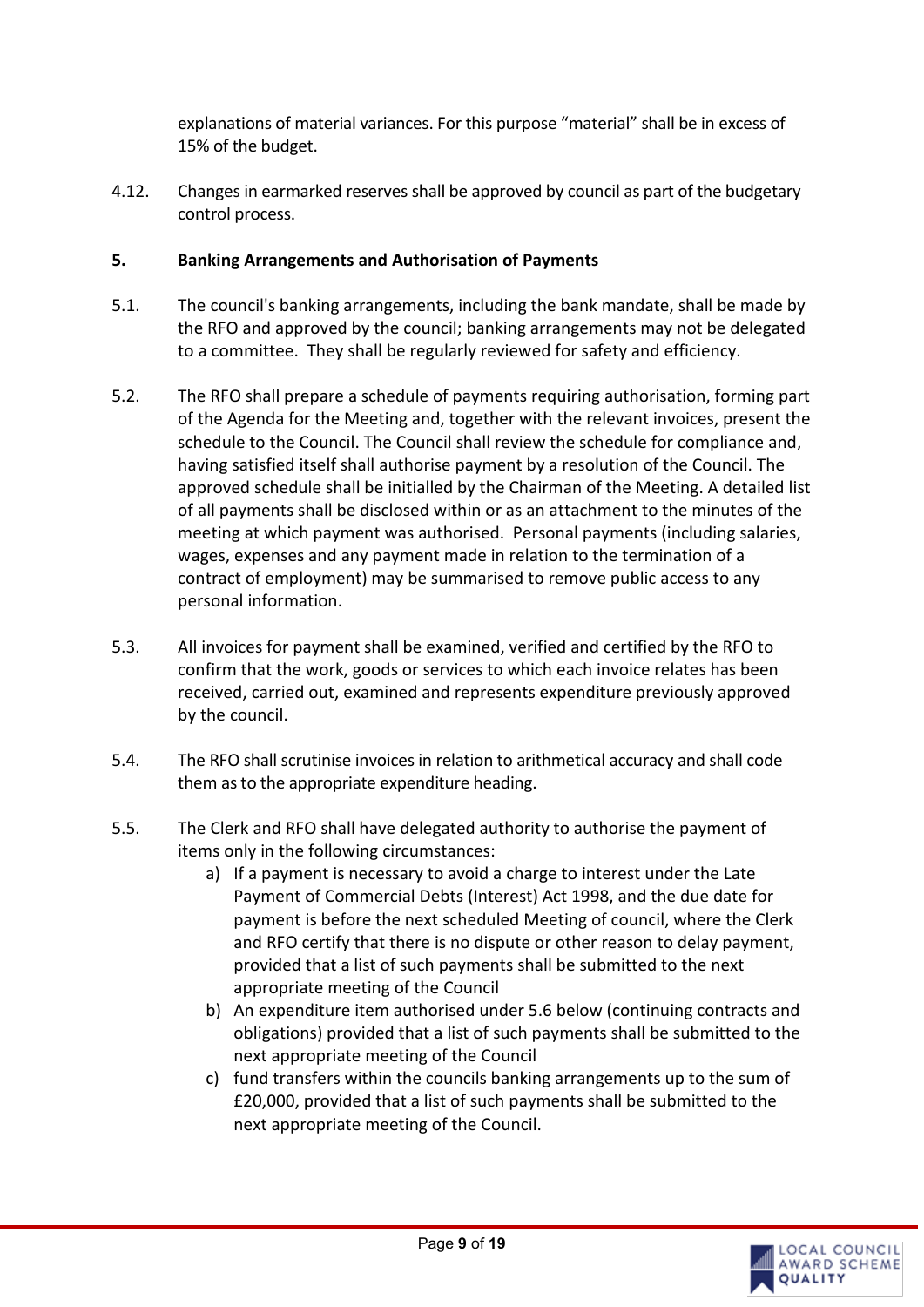explanations of material variances. For this purpose "material" shall be in excess of 15% of the budget.

4.12. Changes in earmarked reserves shall be approved by council as part of the budgetary control process.

# <span id="page-8-0"></span>**5. Banking Arrangements and Authorisation of Payments**

- 5.1. The council's banking arrangements, including the bank mandate, shall be made by the RFO and approved by the council; banking arrangements may not be delegated to a committee. They shall be regularly reviewed for safety and efficiency.
- 5.2. The RFO shall prepare a schedule of payments requiring authorisation, forming part of the Agenda for the Meeting and, together with the relevant invoices, present the schedule to the Council. The Council shall review the schedule for compliance and, having satisfied itself shall authorise payment by a resolution of the Council. The approved schedule shall be initialled by the Chairman of the Meeting. A detailed list of all payments shall be disclosed within or as an attachment to the minutes of the meeting at which payment was authorised. Personal payments (including salaries, wages, expenses and any payment made in relation to the termination of a contract of employment) may be summarised to remove public access to any personal information.
- 5.3. All invoices for payment shall be examined, verified and certified by the RFO to confirm that the work, goods or services to which each invoice relates has been received, carried out, examined and represents expenditure previously approved by the council.
- 5.4. The RFO shall scrutinise invoices in relation to arithmetical accuracy and shall code them as to the appropriate expenditure heading.
- 5.5. The Clerk and RFO shall have delegated authority to authorise the payment of items only in the following circumstances:
	- a) If a payment is necessary to avoid a charge to interest under the Late Payment of Commercial Debts (Interest) Act 1998, and the due date for payment is before the next scheduled Meeting of council, where the Clerk and RFO certify that there is no dispute or other reason to delay payment, provided that a list of such payments shall be submitted to the next appropriate meeting of the Council
	- b) An expenditure item authorised under 5.6 below (continuing contracts and obligations) provided that a list of such payments shall be submitted to the next appropriate meeting of the Council
	- c) fund transfers within the councils banking arrangements up to the sum of £20,000, provided that a list of such payments shall be submitted to the next appropriate meeting of the Council.

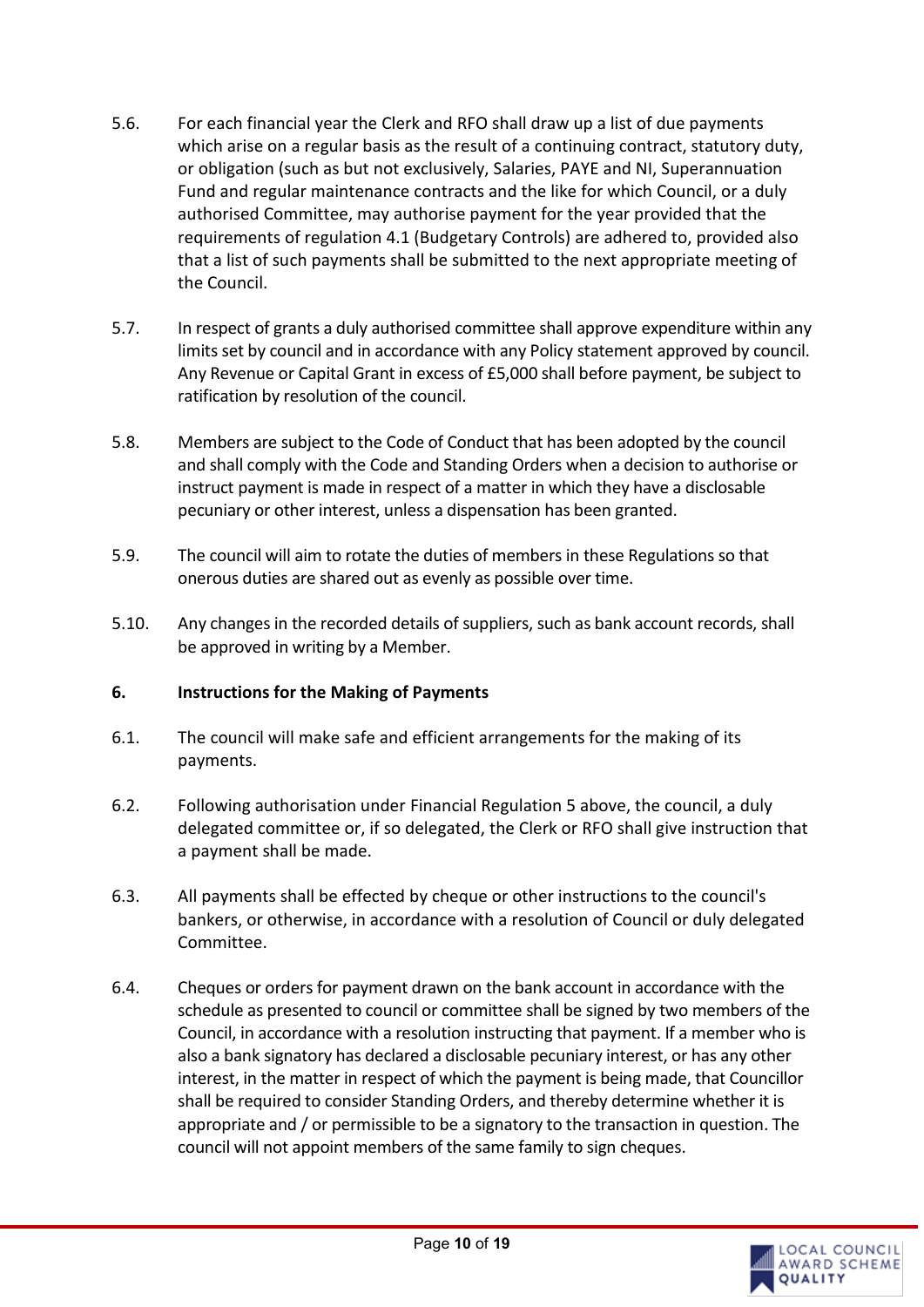- 5.6. For each financial year the Clerk and RFO shall draw up a list of due payments which arise on a regular basis as the result of a continuing contract, statutory duty, or obligation (such as but not exclusively, Salaries, PAYE and NI, Superannuation Fund and regular maintenance contracts and the like for which Council, or a duly authorised Committee, may authorise payment for the year provided that the requirements of regulation 4.1 (Budgetary Controls) are adhered to, provided also that a list of such payments shall be submitted to the next appropriate meeting of the Council.
- 5.7. In respect of grants a duly authorised committee shall approve expenditure within any limits set by council and in accordance with any Policy statement approved by council. Any Revenue or Capital Grant in excess of £5,000 shall before payment, be subject to ratification by resolution of the council.
- 5.8. Members are subject to the Code of Conduct that has been adopted by the council and shall comply with the Code and Standing Orders when a decision to authorise or instruct payment is made in respect of a matter in which they have a disclosable pecuniary or other interest, unless a dispensation has been granted.
- 5.9. The council will aim to rotate the duties of members in these Regulations so that onerous duties are shared out as evenly as possible over time.
- 5.10. Any changes in the recorded details of suppliers, such as bank account records, shall be approved in writing by a Member.

#### <span id="page-9-0"></span>**6. Instructions for the Making of Payments**

- 6.1. The council will make safe and efficient arrangements for the making of its payments.
- 6.2. Following authorisation under Financial Regulation 5 above, the council, a duly delegated committee or, if so delegated, the Clerk or RFO shall give instruction that a payment shall be made.
- 6.3. All payments shall be effected by cheque or other instructions to the council's bankers, or otherwise, in accordance with a resolution of Council or duly delegated Committee.
- 6.4. Cheques or orders for payment drawn on the bank account in accordance with the schedule as presented to council or committee shall be signed by two members of the Council, in accordance with a resolution instructing that payment. If a member who is also a bank signatory has declared a disclosable pecuniary interest, or has any other interest, in the matter in respect of which the payment is being made, that Councillor shall be required to consider Standing Orders, and thereby determine whether it is appropriate and / or permissible to be a signatory to the transaction in question. The council will not appoint members of the same family to sign cheques.

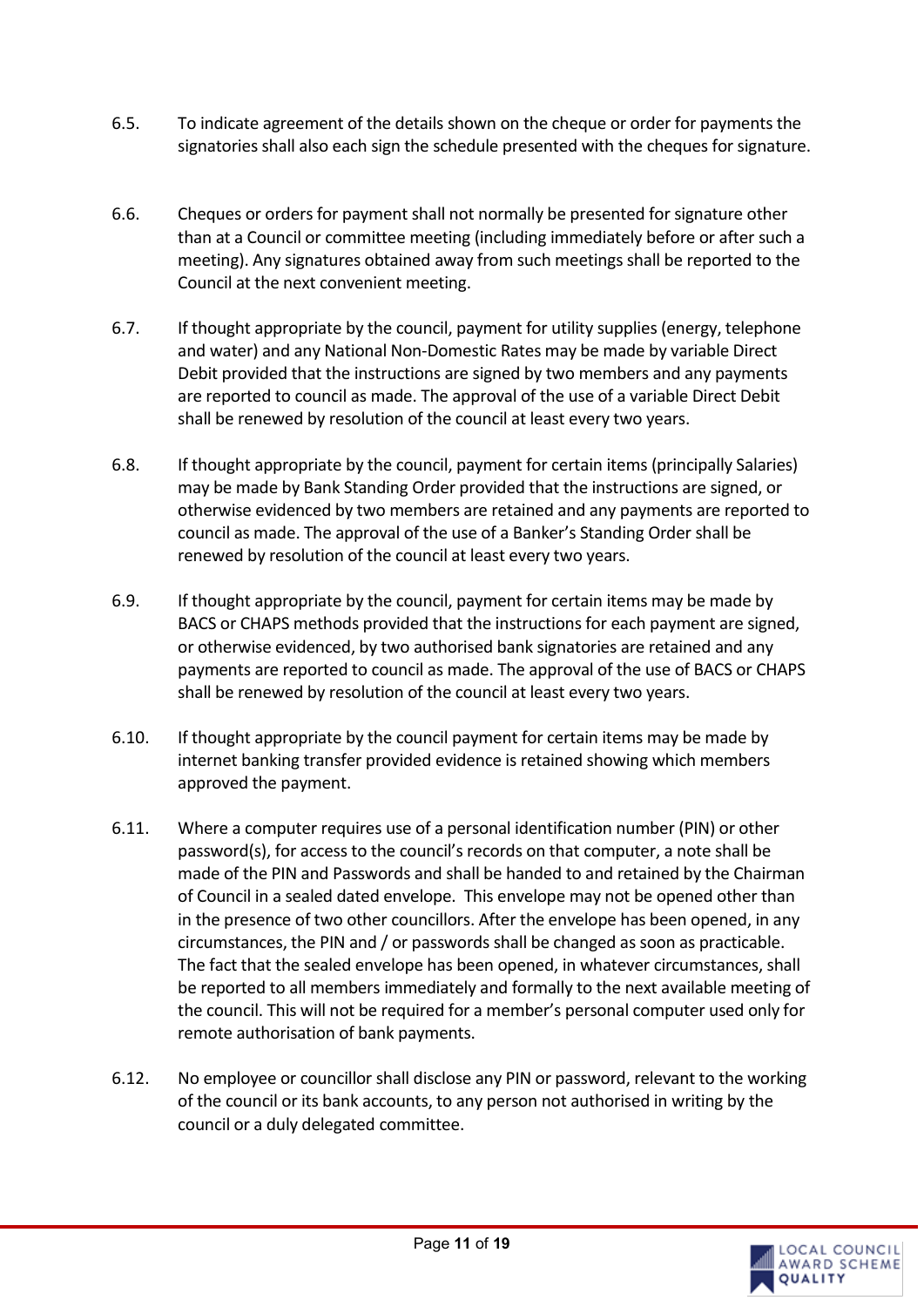- 6.5. To indicate agreement of the details shown on the cheque or order for payments the signatories shall also each sign the schedule presented with the cheques for signature.
- 6.6. Cheques or orders for payment shall not normally be presented for signature other than at a Council or committee meeting (including immediately before or after such a meeting). Any signatures obtained away from such meetings shall be reported to the Council at the next convenient meeting.
- 6.7. If thought appropriate by the council, payment for utility supplies (energy, telephone and water) and any National Non-Domestic Rates may be made by variable Direct Debit provided that the instructions are signed by two members and any payments are reported to council as made. The approval of the use of a variable Direct Debit shall be renewed by resolution of the council at least every two years.
- 6.8. If thought appropriate by the council, payment for certain items (principally Salaries) may be made by Bank Standing Order provided that the instructions are signed, or otherwise evidenced by two members are retained and any payments are reported to council as made. The approval of the use of a Banker's Standing Order shall be renewed by resolution of the council at least every two years.
- 6.9. If thought appropriate by the council, payment for certain items may be made by BACS or CHAPS methods provided that the instructions for each payment are signed, or otherwise evidenced, by two authorised bank signatories are retained and any payments are reported to council as made. The approval of the use of BACS or CHAPS shall be renewed by resolution of the council at least every two years.
- 6.10. If thought appropriate by the council payment for certain items may be made by internet banking transfer provided evidence is retained showing which members approved the payment.
- 6.11. Where a computer requires use of a personal identification number (PIN) or other password(s), for access to the council's records on that computer, a note shall be made of the PIN and Passwords and shall be handed to and retained by the Chairman of Council in a sealed dated envelope. This envelope may not be opened other than in the presence of two other councillors. After the envelope has been opened, in any circumstances, the PIN and / or passwords shall be changed as soon as practicable. The fact that the sealed envelope has been opened, in whatever circumstances, shall be reported to all members immediately and formally to the next available meeting of the council. This will not be required for a member's personal computer used only for remote authorisation of bank payments.
- 6.12. No employee or councillor shall disclose any PIN or password, relevant to the working of the council or its bank accounts, to any person not authorised in writing by the council or a duly delegated committee.

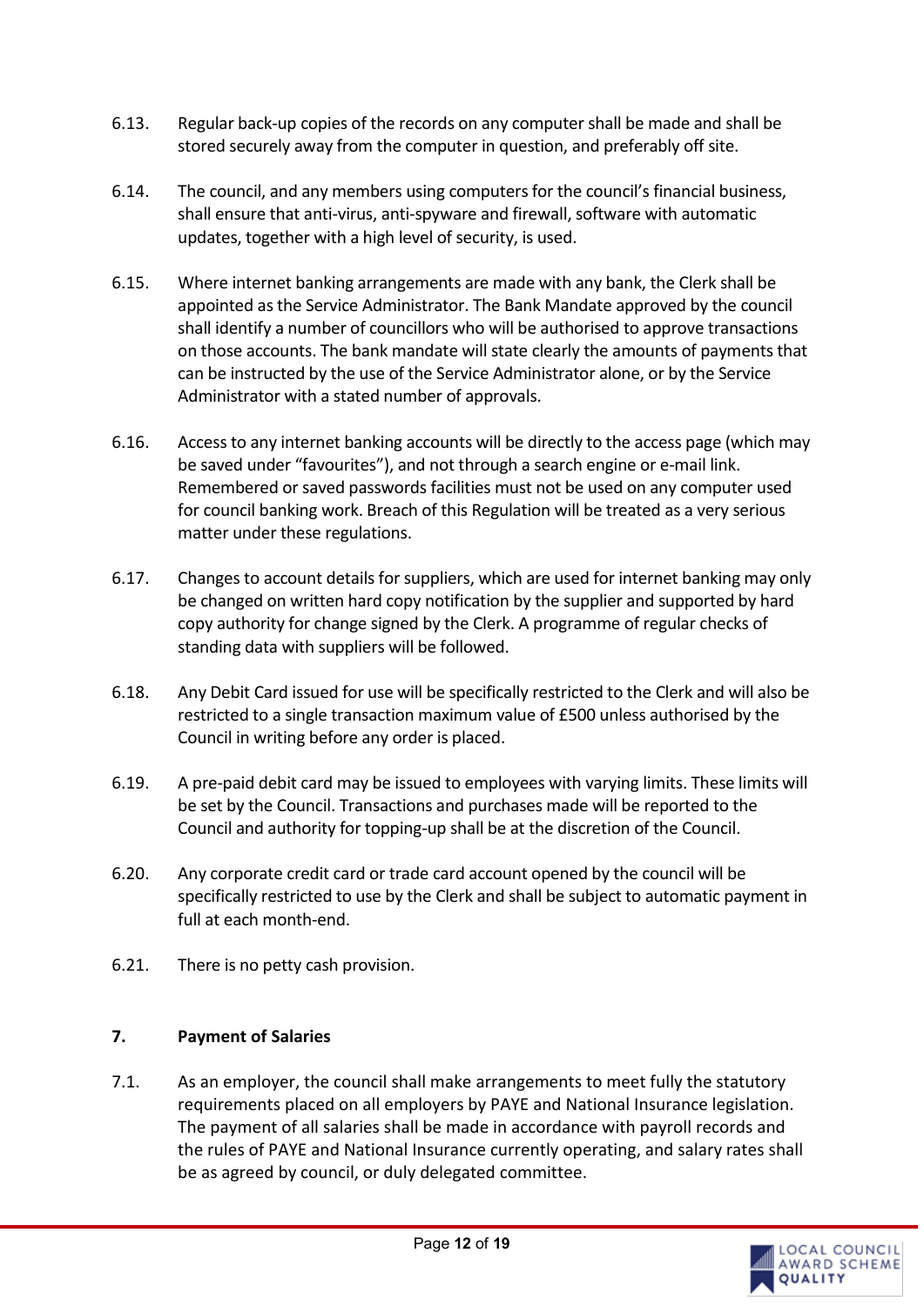- 6.13. Regular back-up copies of the records on any computer shall be made and shall be stored securely away from the computer in question, and preferably off site.
- 6.14. The council, and any members using computers for the council's financial business, shall ensure that anti-virus, anti-spyware and firewall, software with automatic updates, together with a high level of security, is used.
- 6.15. Where internet banking arrangements are made with any bank, the Clerk shall be appointed as the Service Administrator. The Bank Mandate approved by the council shall identify a number of councillors who will be authorised to approve transactions on those accounts. The bank mandate will state clearly the amounts of payments that can be instructed by the use of the Service Administrator alone, or by the Service Administrator with a stated number of approvals.
- 6.16. Access to any internet banking accounts will be directly to the access page (which may be saved under "favourites"), and not through a search engine or e-mail link. Remembered or saved passwords facilities must not be used on any computer used for council banking work. Breach of this Regulation will be treated as a very serious matter under these regulations.
- 6.17. Changes to account details for suppliers, which are used for internet banking may only be changed on written hard copy notification by the supplier and supported by hard copy authority for change signed by the Clerk. A programme of regular checks of standing data with suppliers will be followed.
- 6.18. Any Debit Card issued for use will be specifically restricted to the Clerk and will also be restricted to a single transaction maximum value of £500 unless authorised by the Council in writing before any order is placed.
- 6.19. A pre-paid debit card may be issued to employees with varying limits. These limits will be set by the Council. Transactions and purchases made will be reported to the Council and authority for topping-up shall be at the discretion of the Council.
- 6.20. Any corporate credit card or trade card account opened by the council will be specifically restricted to use by the Clerk and shall be subject to automatic payment in full at each month-end.
- 6.21. There is no petty cash provision.

#### <span id="page-11-0"></span>**7. Payment of Salaries**

7.1. As an employer, the council shall make arrangements to meet fully the statutory requirements placed on all employers by PAYE and National Insurance legislation. The payment of all salaries shall be made in accordance with payroll records and the rules of PAYE and National Insurance currently operating, and salary rates shall be as agreed by council, or duly delegated committee.

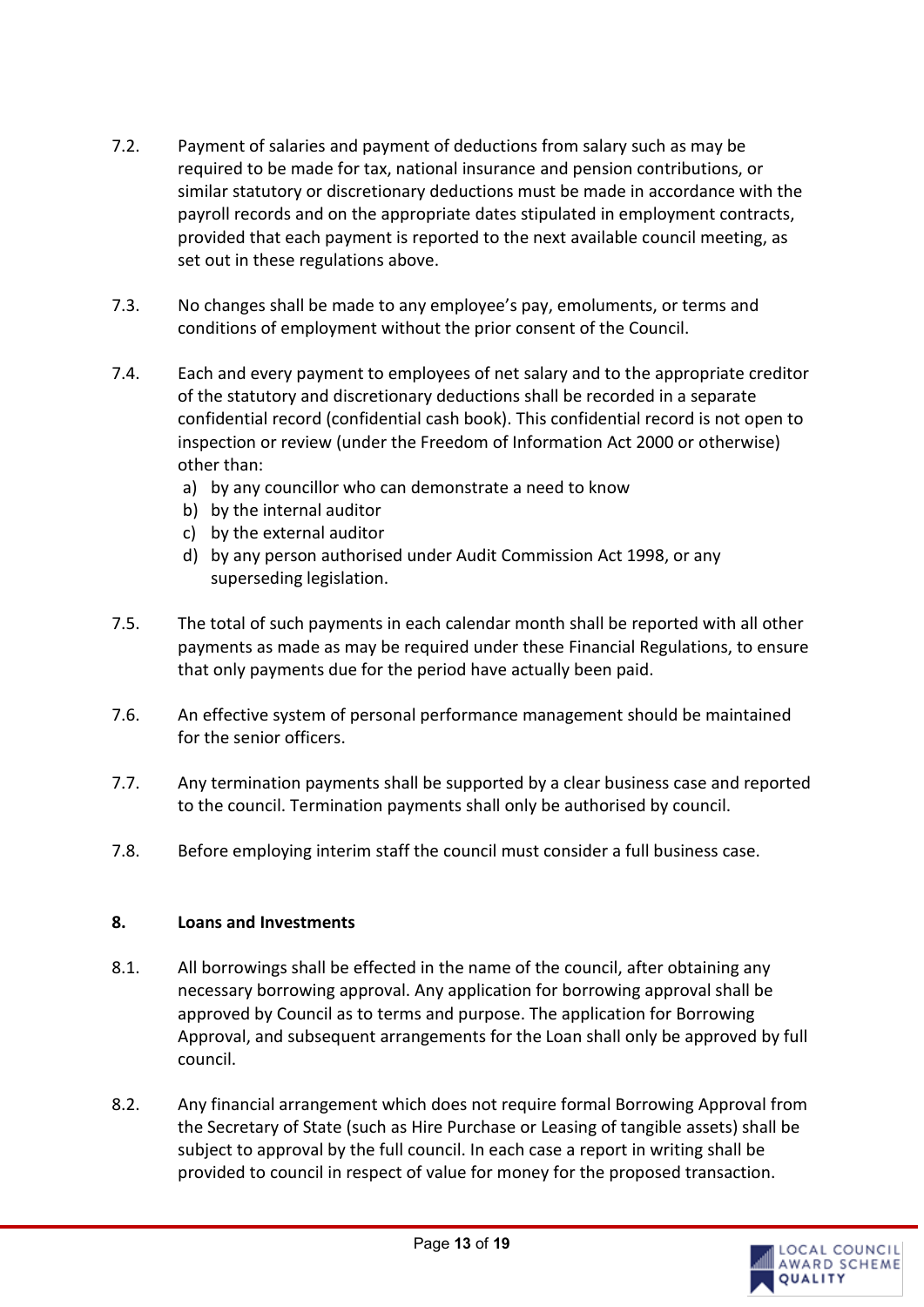- 7.2. Payment of salaries and payment of deductions from salary such as may be required to be made for tax, national insurance and pension contributions, or similar statutory or discretionary deductions must be made in accordance with the payroll records and on the appropriate dates stipulated in employment contracts, provided that each payment is reported to the next available council meeting, as set out in these regulations above.
- 7.3. No changes shall be made to any employee's pay, emoluments, or terms and conditions of employment without the prior consent of the Council.
- 7.4. Each and every payment to employees of net salary and to the appropriate creditor of the statutory and discretionary deductions shall be recorded in a separate confidential record (confidential cash book). This confidential record is not open to inspection or review (under the Freedom of Information Act 2000 or otherwise) other than:
	- a) by any councillor who can demonstrate a need to know
	- b) by the internal auditor
	- c) by the external auditor
	- d) by any person authorised under Audit Commission Act 1998, or any superseding legislation.
- 7.5. The total of such payments in each calendar month shall be reported with all other payments as made as may be required under these Financial Regulations, to ensure that only payments due for the period have actually been paid.
- 7.6. An effective system of personal performance management should be maintained for the senior officers.
- 7.7. Any termination payments shall be supported by a clear business case and reported to the council. Termination payments shall only be authorised by council.
- 7.8. Before employing interim staff the council must consider a full business case.

#### <span id="page-12-0"></span>**8. Loans and Investments**

- 8.1. All borrowings shall be effected in the name of the council, after obtaining any necessary borrowing approval. Any application for borrowing approval shall be approved by Council as to terms and purpose. The application for Borrowing Approval, and subsequent arrangements for the Loan shall only be approved by full council.
- 8.2. Any financial arrangement which does not require formal Borrowing Approval from the Secretary of State (such as Hire Purchase or Leasing of tangible assets) shall be subject to approval by the full council. In each case a report in writing shall be provided to council in respect of value for money for the proposed transaction.

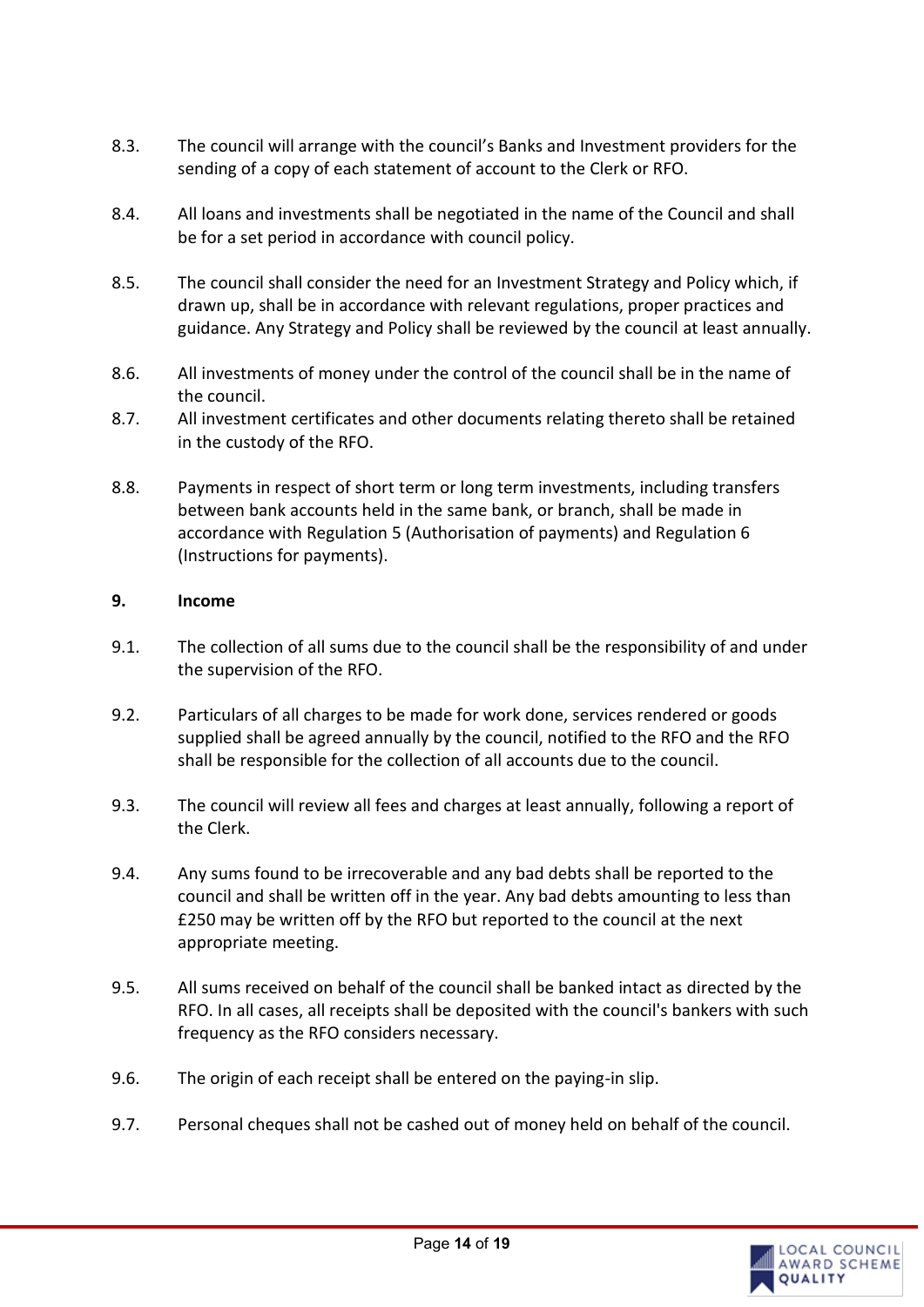- 8.3. The council will arrange with the council's Banks and Investment providers for the sending of a copy of each statement of account to the Clerk or RFO.
- 8.4. All loans and investments shall be negotiated in the name of the Council and shall be for a set period in accordance with council policy.
- 8.5. The council shall consider the need for an Investment Strategy and Policy which, if drawn up, shall be in accordance with relevant regulations, proper practices and guidance. Any Strategy and Policy shall be reviewed by the council at least annually.
- 8.6. All investments of money under the control of the council shall be in the name of the council.
- 8.7. All investment certificates and other documents relating thereto shall be retained in the custody of the RFO.
- 8.8. Payments in respect of short term or long term investments, including transfers between bank accounts held in the same bank, or branch, shall be made in accordance with Regulation 5 (Authorisation of payments) and Regulation 6 (Instructions for payments).

#### <span id="page-13-0"></span>**9. Income**

- 9.1. The collection of all sums due to the council shall be the responsibility of and under the supervision of the RFO.
- 9.2. Particulars of all charges to be made for work done, services rendered or goods supplied shall be agreed annually by the council, notified to the RFO and the RFO shall be responsible for the collection of all accounts due to the council.
- 9.3. The council will review all fees and charges at least annually, following a report of the Clerk.
- 9.4. Any sums found to be irrecoverable and any bad debts shall be reported to the council and shall be written off in the year. Any bad debts amounting to less than £250 may be written off by the RFO but reported to the council at the next appropriate meeting.
- 9.5. All sums received on behalf of the council shall be banked intact as directed by the RFO. In all cases, all receipts shall be deposited with the council's bankers with such frequency as the RFO considers necessary.
- 9.6. The origin of each receipt shall be entered on the paying-in slip.
- 9.7. Personal cheques shall not be cashed out of money held on behalf of the council.

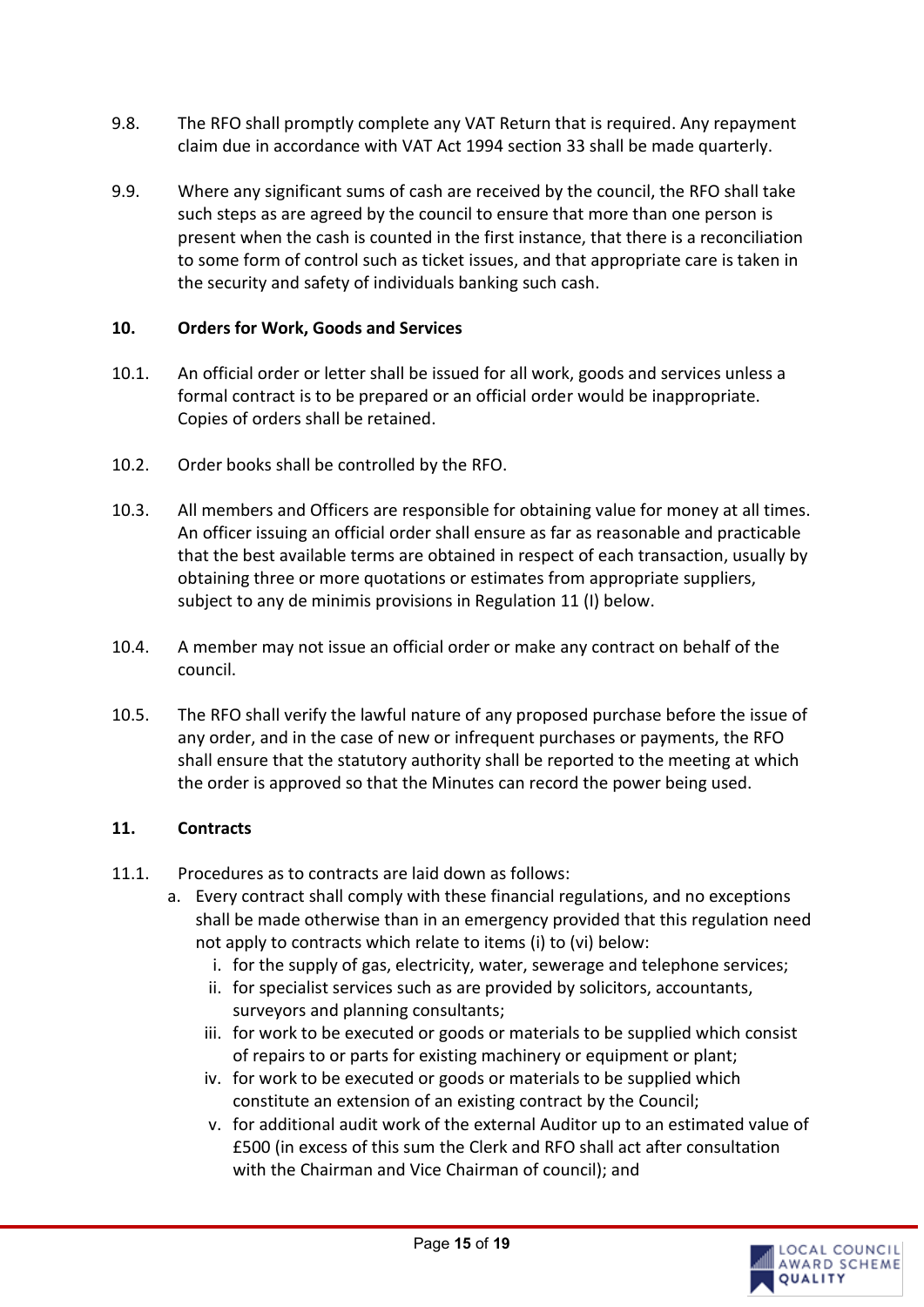- 9.8. The RFO shall promptly complete any VAT Return that is required. Any repayment claim due in accordance with VAT Act 1994 section 33 shall be made quarterly.
- 9.9. Where any significant sums of cash are received by the council, the RFO shall take such steps as are agreed by the council to ensure that more than one person is present when the cash is counted in the first instance, that there is a reconciliation to some form of control such as ticket issues, and that appropriate care is taken in the security and safety of individuals banking such cash.

#### <span id="page-14-0"></span>**10. Orders for Work, Goods and Services**

- 10.1. An official order or letter shall be issued for all work, goods and services unless a formal contract is to be prepared or an official order would be inappropriate. Copies of orders shall be retained.
- 10.2. Order books shall be controlled by the RFO.
- 10.3. All members and Officers are responsible for obtaining value for money at all times. An officer issuing an official order shall ensure as far as reasonable and practicable that the best available terms are obtained in respect of each transaction, usually by obtaining three or more quotations or estimates from appropriate suppliers, subject to any de minimis provisions in Regulation 11 (I) below.
- 10.4. A member may not issue an official order or make any contract on behalf of the council.
- 10.5. The RFO shall verify the lawful nature of any proposed purchase before the issue of any order, and in the case of new or infrequent purchases or payments, the RFO shall ensure that the statutory authority shall be reported to the meeting at which the order is approved so that the Minutes can record the power being used.

#### <span id="page-14-1"></span>**11. Contracts**

- 11.1. Procedures as to contracts are laid down as follows:
	- a. Every contract shall comply with these financial regulations, and no exceptions shall be made otherwise than in an emergency provided that this regulation need not apply to contracts which relate to items (i) to (vi) below:
		- i. for the supply of gas, electricity, water, sewerage and telephone services;
		- ii. for specialist services such as are provided by solicitors, accountants, surveyors and planning consultants;
		- iii. for work to be executed or goods or materials to be supplied which consist of repairs to or parts for existing machinery or equipment or plant;
		- iv. for work to be executed or goods or materials to be supplied which constitute an extension of an existing contract by the Council;
		- v. for additional audit work of the external Auditor up to an estimated value of £500 (in excess of this sum the Clerk and RFO shall act after consultation with the Chairman and Vice Chairman of council); and

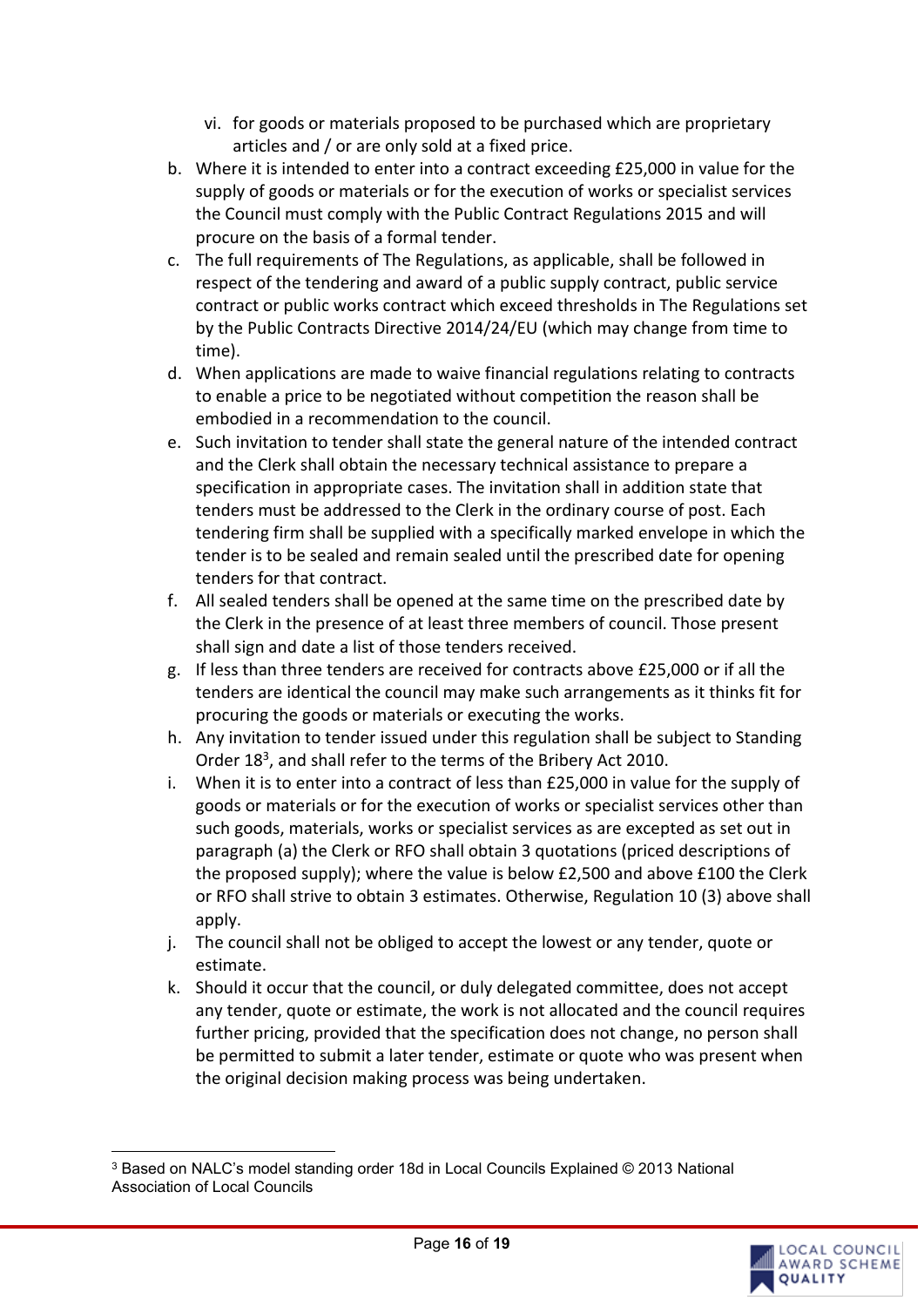- vi. for goods or materials proposed to be purchased which are proprietary articles and / or are only sold at a fixed price.
- b. Where it is intended to enter into a contract exceeding £25,000 in value for the supply of goods or materials or for the execution of works or specialist services the Council must comply with the Public Contract Regulations 2015 and will procure on the basis of a formal tender.
- c. The full requirements of The Regulations, as applicable, shall be followed in respect of the tendering and award of a public supply contract, public service contract or public works contract which exceed thresholds in The Regulations set by the Public Contracts Directive 2014/24/EU (which may change from time to time).
- d. When applications are made to waive financial regulations relating to contracts to enable a price to be negotiated without competition the reason shall be embodied in a recommendation to the council.
- e. Such invitation to tender shall state the general nature of the intended contract and the Clerk shall obtain the necessary technical assistance to prepare a specification in appropriate cases. The invitation shall in addition state that tenders must be addressed to the Clerk in the ordinary course of post. Each tendering firm shall be supplied with a specifically marked envelope in which the tender is to be sealed and remain sealed until the prescribed date for opening tenders for that contract.
- f. All sealed tenders shall be opened at the same time on the prescribed date by the Clerk in the presence of at least three members of council. Those present shall sign and date a list of those tenders received.
- g. If less than three tenders are received for contracts above £25,000 or if all the tenders are identical the council may make such arrangements as it thinks fit for procuring the goods or materials or executing the works.
- h. Any invitation to tender issued under this regulation shall be subject to Standing Order 18<sup>3</sup>, and shall refer to the terms of the Bribery Act 2010.
- i. When it is to enter into a contract of less than £25,000 in value for the supply of goods or materials or for the execution of works or specialist services other than such goods, materials, works or specialist services as are excepted as set out in paragraph (a) the Clerk or RFO shall obtain 3 quotations (priced descriptions of the proposed supply); where the value is below £2,500 and above £100 the Clerk or RFO shall strive to obtain 3 estimates. Otherwise, Regulation 10 (3) above shall apply.
- j. The council shall not be obliged to accept the lowest or any tender, quote or estimate.
- k. Should it occur that the council, or duly delegated committee, does not accept any tender, quote or estimate, the work is not allocated and the council requires further pricing, provided that the specification does not change, no person shall be permitted to submit a later tender, estimate or quote who was present when the original decision making process was being undertaken.

<sup>3</sup> Based on NALC's model standing order 18d in Local Councils Explained © 2013 National Association of Local Councils

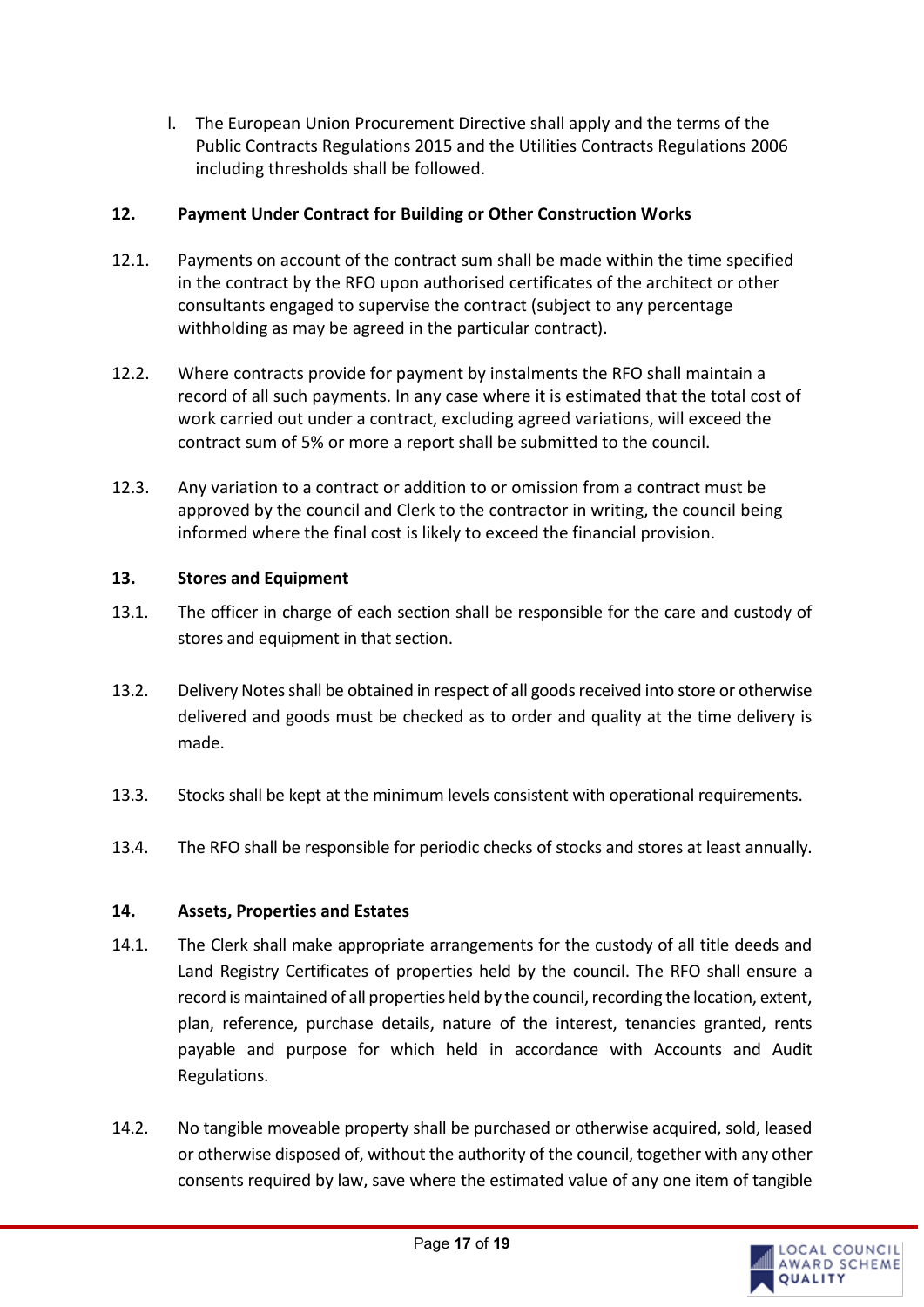l. The European Union Procurement Directive shall apply and the terms of the Public Contracts Regulations 2015 and the Utilities Contracts Regulations 2006 including thresholds shall be followed.

### <span id="page-16-0"></span>**12. Payment Under Contract for Building or Other Construction Works**

- 12.1. Payments on account of the contract sum shall be made within the time specified in the contract by the RFO upon authorised certificates of the architect or other consultants engaged to supervise the contract (subject to any percentage withholding as may be agreed in the particular contract).
- 12.2. Where contracts provide for payment by instalments the RFO shall maintain a record of all such payments. In any case where it is estimated that the total cost of work carried out under a contract, excluding agreed variations, will exceed the contract sum of 5% or more a report shall be submitted to the council.
- 12.3. Any variation to a contract or addition to or omission from a contract must be approved by the council and Clerk to the contractor in writing, the council being informed where the final cost is likely to exceed the financial provision.

# <span id="page-16-1"></span>**13. Stores and Equipment**

- 13.1. The officer in charge of each section shall be responsible for the care and custody of stores and equipment in that section.
- 13.2. Delivery Notes shall be obtained in respect of all goods received into store or otherwise delivered and goods must be checked as to order and quality at the time delivery is made.
- 13.3. Stocks shall be kept at the minimum levels consistent with operational requirements.
- 13.4. The RFO shall be responsible for periodic checks of stocks and stores at least annually.

# <span id="page-16-2"></span>**14. Assets, Properties and Estates**

- 14.1. The Clerk shall make appropriate arrangements for the custody of all title deeds and Land Registry Certificates of properties held by the council. The RFO shall ensure a record is maintained of all properties held by the council, recording the location, extent, plan, reference, purchase details, nature of the interest, tenancies granted, rents payable and purpose for which held in accordance with Accounts and Audit Regulations.
- 14.2. No tangible moveable property shall be purchased or otherwise acquired, sold, leased or otherwise disposed of, without the authority of the council, together with any other consents required by law, save where the estimated value of any one item of tangible

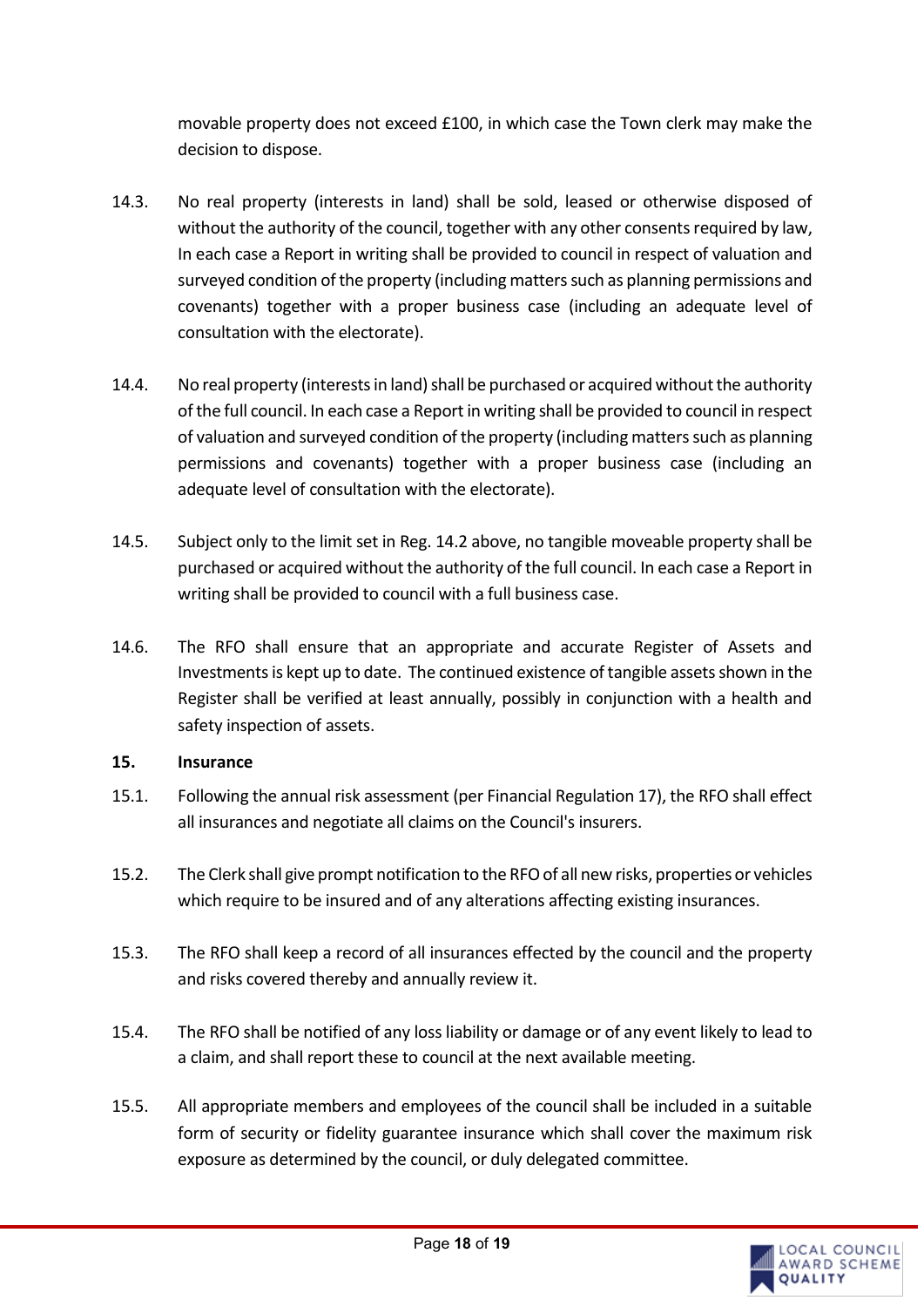movable property does not exceed £100, in which case the Town clerk may make the decision to dispose.

- 14.3. No real property (interests in land) shall be sold, leased or otherwise disposed of without the authority of the council, together with any other consents required by law, In each case a Report in writing shall be provided to council in respect of valuation and surveyed condition of the property (including matters such as planning permissions and covenants) together with a proper business case (including an adequate level of consultation with the electorate).
- 14.4. No real property (interests in land) shall be purchased or acquired without the authority of the full council. In each case a Report in writing shall be provided to council in respect of valuation and surveyed condition of the property (including matters such as planning permissions and covenants) together with a proper business case (including an adequate level of consultation with the electorate).
- 14.5. Subject only to the limit set in Reg. 14.2 above, no tangible moveable property shall be purchased or acquired without the authority of the full council. In each case a Report in writing shall be provided to council with a full business case.
- 14.6. The RFO shall ensure that an appropriate and accurate Register of Assets and Investments is kept up to date. The continued existence of tangible assets shown in the Register shall be verified at least annually, possibly in conjunction with a health and safety inspection of assets.

#### <span id="page-17-0"></span>**15. Insurance**

- 15.1. Following the annual risk assessment (per Financial Regulation 17), the RFO shall effect all insurances and negotiate all claims on the Council's insurers.
- 15.2. The Clerk shall give prompt notification to the RFO of all new risks, properties or vehicles which require to be insured and of any alterations affecting existing insurances.
- 15.3. The RFO shall keep a record of all insurances effected by the council and the property and risks covered thereby and annually review it.
- 15.4. The RFO shall be notified of any loss liability or damage or of any event likely to lead to a claim, and shall report these to council at the next available meeting.
- 15.5. All appropriate members and employees of the council shall be included in a suitable form of security or fidelity guarantee insurance which shall cover the maximum risk exposure as determined by the council, or duly delegated committee.